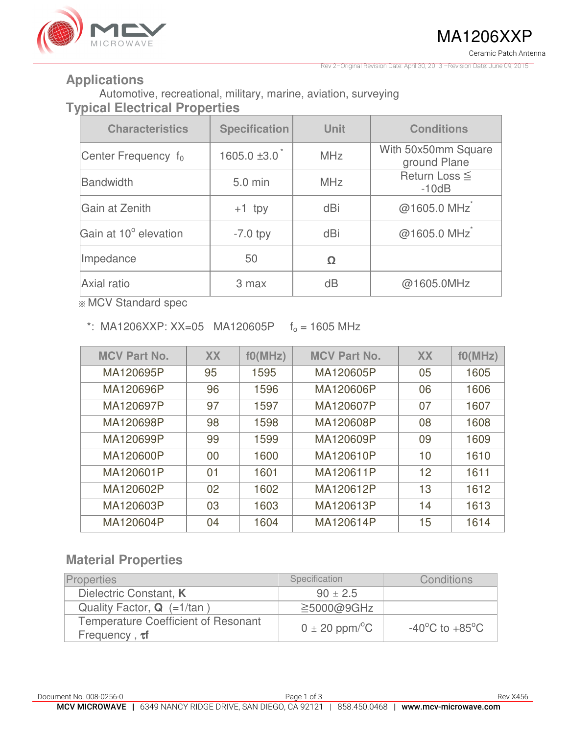

Revision Date: April 30, 2013 –Revision Date: June 09, 2015

#### **Applications**

Automotive, recreational, military, marine, aviation, surveying **Typical Electrical Properties** 

| <b>Characteristics</b> | <b>Specification</b> | <b>Unit</b> | <b>Conditions</b>                   |  |
|------------------------|----------------------|-------------|-------------------------------------|--|
| Center Frequency $f_0$ | $1605.0 \pm 3.0$     | <b>MHz</b>  | With 50x50mm Square<br>ground Plane |  |
| <b>Bandwidth</b>       | 5.0 min              | <b>MHz</b>  | Return Loss $\leq$<br>$-10dB$       |  |
| Gain at Zenith         | $+1$ tpy             | dBi         | @1605.0 MHz                         |  |
| Gain at 10° elevation  | $-7.0$ tpy           | dBi         | @1605.0 MHz                         |  |
| Impedance              | 50                   | Ω           |                                     |  |
| Axial ratio            | 3 max                | dB          | @1605.0MHz                          |  |

※ MCV Standard spec

\*: MA1206XXP: XX=05 MA120605P  $f_0 = 1605$  MHz

| <b>MCV Part No.</b> | <b>XX</b> | f0(MHz) | <b>MCV Part No.</b> | <b>XX</b> | f0(MHz) |
|---------------------|-----------|---------|---------------------|-----------|---------|
| MA120695P           | 95        | 1595    | MA120605P           | 05        | 1605    |
| MA120696P           | 96        | 1596    | MA120606P           | 06        | 1606    |
| MA120697P           | 97        | 1597    | MA120607P           | 07        | 1607    |
| MA120698P           | 98        | 1598    | MA120608P           | 08        | 1608    |
| MA120699P           | 99        | 1599    | MA120609P           | 09        | 1609    |
| MA120600P           | 00        | 1600    | MA120610P           | 10        | 1610    |
| MA120601P           | 01        | 1601    | MA120611P           | 12        | 1611    |
| MA120602P           | 02        | 1602    | MA120612P           | 13        | 1612    |
| MA120603P           | 03        | 1603    | MA120613P           | 14        | 1613    |
| MA120604P           | 04        | 1604    | MA120614P           | 15        | 1614    |

## **Material Properties**

| <b>Properties</b>                                                 | Specification                  | Conditions                         |
|-------------------------------------------------------------------|--------------------------------|------------------------------------|
| Dielectric Constant, K                                            | $90 \pm 2.5$                   |                                    |
| Quality Factor, $Q$ (=1/tan)                                      | $\geq$ 5000@9GHz               |                                    |
| <b>Temperature Coefficient of Resonant</b><br>Frequency, $\tau f$ | $0 \pm 20$ ppm/ <sup>o</sup> C | $-40^{\circ}$ C to $+85^{\circ}$ C |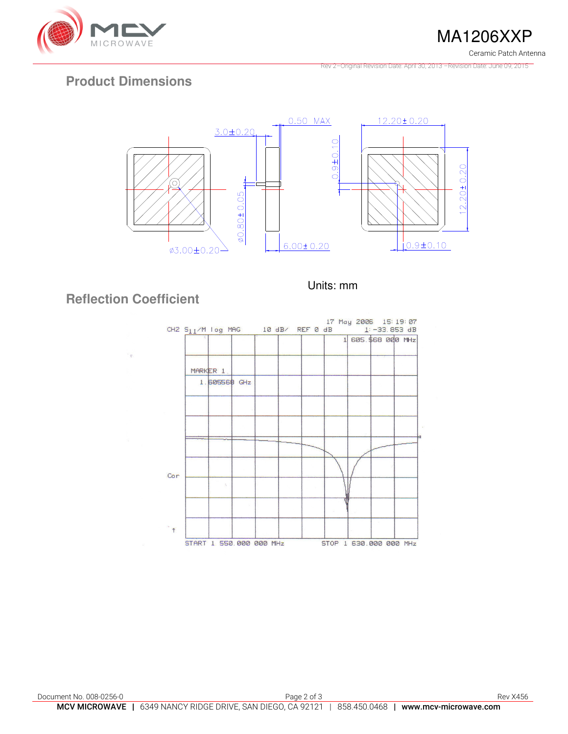

MA1206XXP Ceramic Patch Antenna

Rev 2–Original Revision Date: April 30, 2013 –Revision Date: June 09, 2015

## **Product Dimensions**



Units: mm

# **Reflection Coefficient**